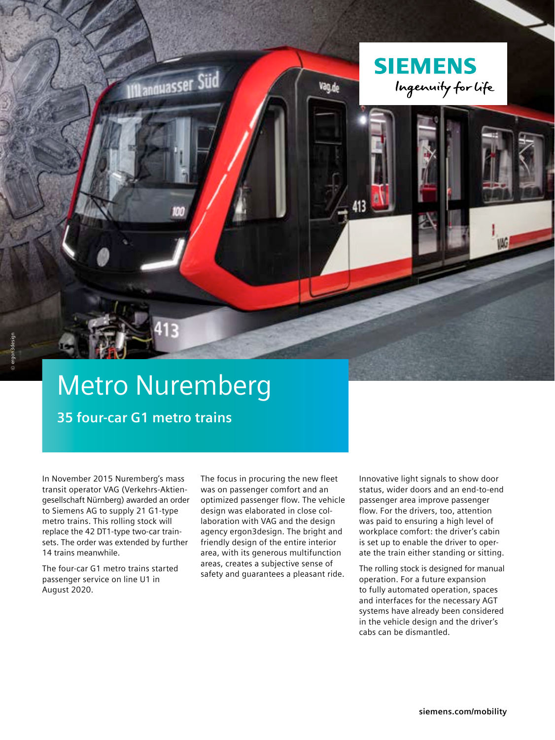## Metro Nuremberg

**III** annuasser Süd

**35 four-car G1 metro trains**

In November 2015 Nuremberg's mass transit operator VAG (Verkehrs-Aktiengesellschaft Nürnberg) awarded an order to Siemens AG to supply 21 G1-type metro trains. This rolling stock will replace the 42 DT1-type two-car trainsets. The order was extended by further 14 trains meanwhile.

The four-car G1 metro trains started passenger service on line U1 in August 2020.

The focus in procuring the new fleet was on passenger comfort and an optimized passenger flow. The vehicle design was elaborated in close collaboration with VAG and the design agency ergon3design. The bright and friendly design of the entire interior area, with its generous multifunction areas, creates a subjective sense of safety and guarantees a pleasant ride.

Innovative light signals to show door status, wider doors and an end-to-end passenger area improve passenger flow. For the drivers, too, attention was paid to ensuring a high level of workplace comfort: the driver's cabin is set up to enable the driver to operate the train either standing or sitting.

**SIEMENS** 

Vag.de

Ingenuity for life

The rolling stock is designed for manual operation. For a future expansion to fully automated operation, spaces and interfaces for the necessary AGT systems have already been considered in the vehicle design and the driver's cabs can be dismantled.